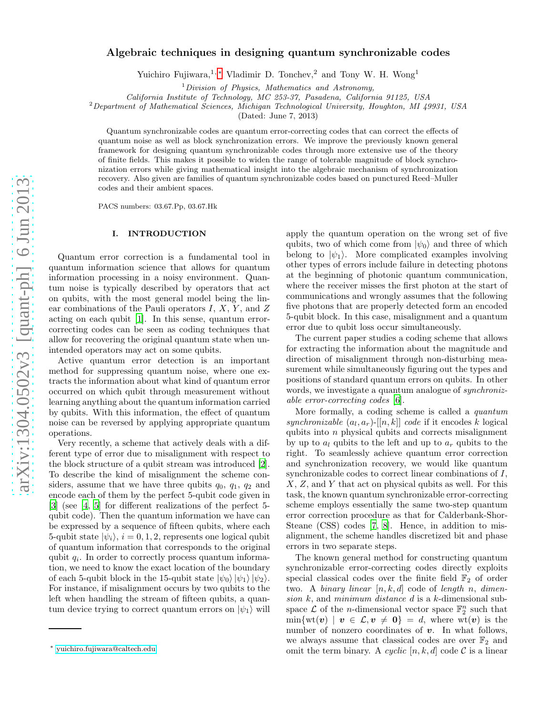# Algebraic techniques in designing quantum synchronizable codes

Yuichiro Fujiwara,<sup>1,\*</sup> Vladimir D. Tonchev,<sup>2</sup> and Tony W. H. Wong<sup>1</sup>

 $1$ Division of Physics, Mathematics and Astronomy,

California Institute of Technology, MC 253-37, Pasadena, California 91125, USA

<sup>2</sup>Department of Mathematical Sciences, Michigan Technological University, Houghton, MI 49931, USA

(Dated: June 7, 2013)

Quantum synchronizable codes are quantum error-correcting codes that can correct the effects of quantum noise as well as block synchronization errors. We improve the previously known general framework for designing quantum synchronizable codes through more extensive use of the theory of finite fields. This makes it possible to widen the range of tolerable magnitude of block synchronization errors while giving mathematical insight into the algebraic mechanism of synchronization recovery. Also given are families of quantum synchronizable codes based on punctured Reed–Muller codes and their ambient spaces.

PACS numbers: 03.67.Pp, 03.67.Hk

# <span id="page-0-1"></span>I. INTRODUCTION

Quantum error correction is a fundamental tool in quantum information science that allows for quantum information processing in a noisy environment. Quantum noise is typically described by operators that act on qubits, with the most general model being the linear combinations of the Pauli operators  $I, X, Y$ , and  $Z$ acting on each qubit [\[1](#page-8-0)]. In this sense, quantum errorcorrecting codes can be seen as coding techniques that allow for recovering the original quantum state when unintended operators may act on some qubits.

Active quantum error detection is an important method for suppressing quantum noise, where one extracts the information about what kind of quantum error occurred on which qubit through measurement without learning anything about the quantum information carried by qubits. With this information, the effect of quantum noise can be reversed by applying appropriate quantum operations.

Very recently, a scheme that actively deals with a different type of error due to misalignment with respect to the block structure of a qubit stream was introduced [\[2\]](#page-8-1). To describe the kind of misalignment the scheme considers, assume that we have three qubits  $q_0$ ,  $q_1$ ,  $q_2$  and encode each of them by the perfect 5-qubit code given in [\[3\]](#page-8-2) (see [\[4](#page-8-3), [5](#page-8-4)] for different realizations of the perfect 5 qubit code). Then the quantum information we have can be expressed by a sequence of fifteen qubits, where each 5-qubit state  $|\psi_i\rangle$ ,  $i = 0, 1, 2$ , represents one logical qubit of quantum information that corresponds to the original qubit  $q_i$ . In order to correctly process quantum information, we need to know the exact location of the boundary of each 5-qubit block in the 15-qubit state  $|\psi_0\rangle |\psi_1\rangle |\psi_2\rangle$ . For instance, if misalignment occurs by two qubits to the left when handling the stream of fifteen qubits, a quantum device trying to correct quantum errors on  $|\psi_1\rangle$  will apply the quantum operation on the wrong set of five qubits, two of which come from  $|\psi_0\rangle$  and three of which belong to  $|\psi_1\rangle$ . More complicated examples involving other types of errors include failure in detecting photons at the beginning of photonic quantum communication, where the receiver misses the first photon at the start of communications and wrongly assumes that the following five photons that are properly detected form an encoded 5-qubit block. In this case, misalignment and a quantum error due to qubit loss occur simultaneously.

The current paper studies a coding scheme that allows for extracting the information about the magnitude and direction of misalignment through non-disturbing measurement while simultaneously figuring out the types and positions of standard quantum errors on qubits. In other words, we investigate a quantum analogue of *synchroniz*able error-correcting codes [\[6\]](#page-8-5).

More formally, a coding scheme is called a quantum synchronizable  $(a_l, a_r)$ -[[n, k]] code if it encodes k logical qubits into n physical qubits and corrects misalignment by up to  $a_l$  qubits to the left and up to  $a_r$  qubits to the right. To seamlessly achieve quantum error correction and synchronization recovery, we would like quantum synchronizable codes to correct linear combinations of I, X, Z, and Y that act on physical qubits as well. For this task, the known quantum synchronizable error-correcting scheme employs essentially the same two-step quantum error correction procedure as that for Calderbank-Shor-Steane (CSS) codes [\[7,](#page-8-6) [8](#page-8-7)]. Hence, in addition to misalignment, the scheme handles discretized bit and phase errors in two separate steps.

The known general method for constructing quantum synchronizable error-correcting codes directly exploits special classical codes over the finite field  $\mathbb{F}_2$  of order two. A binary linear  $[n, k, d]$  code of length n, dimension  $k$ , and minimum distance  $d$  is a  $k$ -dimensional subspace  $\mathcal L$  of the *n*-dimensional vector space  $\mathbb F_2^n$  such that  $\min\{\text{wt}(\boldsymbol{v}) \mid \boldsymbol{v} \in \mathcal{L}, \boldsymbol{v} \neq \boldsymbol{0}\} = d$ , where  $\text{wt}(\boldsymbol{v})$  is the number of nonzero coordinates of  $v$ . In what follows, we always assume that classical codes are over  $\mathbb{F}_2$  and omit the term binary. A cyclic  $[n, k, d]$  code C is a linear

<span id="page-0-0"></span><sup>∗</sup> [yuichiro.fujiwara@caltech.edu](mailto:yuichiro.fujiwara@caltech.edu)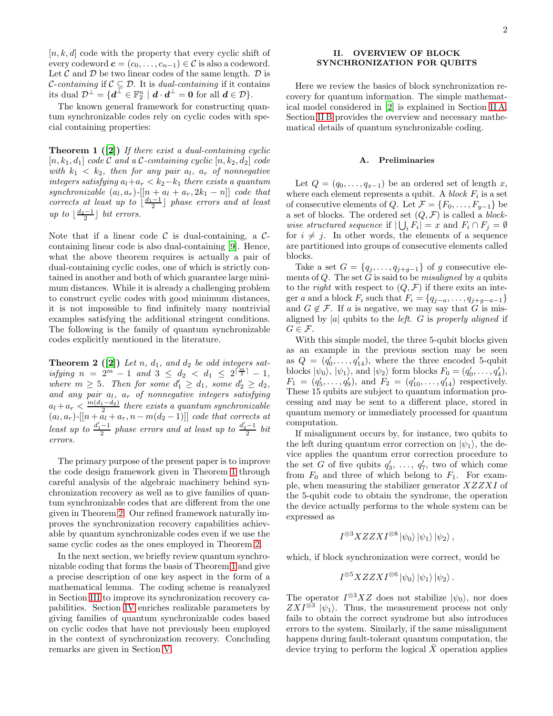$[n, k, d]$  code with the property that every cyclic shift of every codeword  $\mathbf{c} = (c_0, \ldots, c_{n-1}) \in \mathcal{C}$  is also a codeword. Let  $\mathcal C$  and  $\mathcal D$  be two linear codes of the same length.  $\mathcal D$  is *C*-containing if  $C \subseteq D$ . It is *dual-containing* if it contains its dual  $\mathcal{D}^{\perp} = \{ \boldsymbol{d}^{\perp} \in \mathbb{F}_2^n \mid \boldsymbol{d} \cdot \boldsymbol{d}^{\perp} = \boldsymbol{0} \text{ for all } \boldsymbol{d} \in \mathcal{D} \}.$ 

<span id="page-1-0"></span>The known general framework for constructing quantum synchronizable codes rely on cyclic codes with special containing properties:

**Theorem 1** ([\[2\]](#page-8-1)) If there exist a dual-containing cyclic  $[n, k_1, d_1]$  code C and a C-containing cyclic  $[n, k_2, d_2]$  code with  $k_1 < k_2$ , then for any pair  $a_l$ ,  $a_r$  of nonnegative integers satisfying  $a_l+a_r < k_2-k_1$  there exists a quantum synchronizable  $(a_l, a_r)$ - $[n + a_l + a_r, 2k_1 - n]$  code that corrects at least up to  $\left\lfloor \frac{d_1-1}{2} \right\rfloor$  phase errors and at least up to  $\lfloor \frac{d_2-1}{2} \rfloor$  bit errors.

Note that if a linear code  $\mathcal C$  is dual-containing, a  $\mathcal C$ containing linear code is also dual-containing [\[9](#page-8-8)]. Hence, what the above theorem requires is actually a pair of dual-containing cyclic codes, one of which is strictly contained in another and both of which guarantee large minimum distances. While it is already a challenging problem to construct cyclic codes with good minimum distances, it is not impossible to find infinitely many nontrivial examples satisfying the additional stringent conditions. The following is the family of quantum synchronizable codes explicitly mentioned in the literature.

**Theorem 2** ([\[2\]](#page-8-1)) Let n,  $d_1$ , and  $d_2$  be odd integers satisfying  $n = 2^m - 1$  and  $3 \leq d_2 < d_1 \leq 2^{\lceil \frac{m}{2} \rceil} - 1$ , where  $m \geq 5$ . Then for some  $d'_1 \geq d_1$ , some  $d'_2 \geq d_2$ , and any pair  $a_l$ ,  $a_r$  of nonnegative integers satisfying  $a_l + a_r < \frac{m(d_1 - d_2)}{2}$  $\frac{1-a_2}{2}$  there exists a quantum synchronizable  $(a_l, a_r)$ -[[ $n + a_l + a_r, n - m(d_2 - 1)$ ]] code that corrects at least up to  $\frac{d'_1-1}{2}$  phase errors and at least up to  $\frac{d'_2-1}{2}$  bit errors.

The primary purpose of the present paper is to improve the code design framework given in Theorem [1](#page-1-0) through careful analysis of the algebraic machinery behind synchronization recovery as well as to give families of quantum synchronizable codes that are different from the one given in Theorem [2.](#page-1-1) Our refined framework naturally improves the synchronization recovery capabilities achievable by quantum synchronizable codes even if we use the same cyclic codes as the ones employed in Theorem [2.](#page-1-1)

In the next section, we briefly review quantum synchronizable coding that forms the basis of Theorem [1](#page-1-0) and give a precise description of one key aspect in the form of a mathematical lemma. The coding scheme is reanalyzed in Section [III](#page-4-0) to improve its synchronization recovery capabilities. Section [IV](#page-5-0) enriches realizable parameters by giving families of quantum synchronizable codes based on cyclic codes that have not previously been employed in the context of synchronization recovery. Concluding remarks are given in Section [V.](#page-7-0)

# II. OVERVIEW OF BLOCK SYNCHRONIZATION FOR QUBITS

Here we review the basics of block synchronization recovery for quantum information. The simple mathematical model considered in [\[2](#page-8-1)] is explained in Section [II A.](#page-1-2) Section [II B](#page-2-0) provides the overview and necessary mathematical details of quantum synchronizable coding.

#### <span id="page-1-2"></span>A. Preliminaries

Let  $Q = (q_0, \ldots, q_{x-1})$  be an ordered set of length x, where each element represents a qubit. A *block*  $F_i$  is a set of consecutive elements of Q. Let  $\mathcal{F} = \{F_0, \ldots, F_{y-1}\}\$  be a set of blocks. The ordered set  $(Q, \mathcal{F})$  is called a *block*wise structured sequence if  $|\bigcup_i F_i| = x$  and  $F_i \cap F_j = \emptyset$ for  $i \neq j$ . In other words, the elements of a sequence are partitioned into groups of consecutive elements called blocks.

Take a set  $G = \{q_j, \ldots, q_{j+g-1}\}\$  of g consecutive elements of  $Q$ . The set G is said to be *misaligned* by a qubits to the *right* with respect to  $(Q, \mathcal{F})$  if there exits an integer a and a block  $F_i$  such that  $F_i = \{q_{j-a}, \ldots, q_{j+g-a-1}\}\$ and  $G \notin \mathcal{F}$ . If a is negative, we may say that G is misaligned by |a| qubits to the *left.* G is properly aligned if  $G \in \mathcal{F}$ .

<span id="page-1-1"></span>With this simple model, the three 5-qubit blocks given as an example in the previous section may be seen as  $Q = (q'_0, \ldots, q'_{14})$ , where the three encoded 5-qubit blocks  $|\psi_0\rangle$ ,  $|\psi_1\rangle$ , and  $|\psi_2\rangle$  form blocks  $F_0 = (q'_0, \ldots, q'_4)$ ,  $F_1 = (q'_5, \ldots, q'_9)$ , and  $F_2 = (q'_{10}, \ldots, q'_{14})$  respectively. These 15 qubits are subject to quantum information processing and may be sent to a different place, stored in quantum memory or immediately processed for quantum computation.

If misalignment occurs by, for instance, two qubits to the left during quantum error correction on  $|\psi_1\rangle$ , the device applies the quantum error correction procedure to the set G of five qubits  $q'_3, \ldots, q'_7$ , two of which come from  $F_0$  and three of which belong to  $F_1$ . For example, when measuring the stabilizer generator XZZXI of the 5-qubit code to obtain the syndrome, the operation the device actually performs to the whole system can be expressed as

$$
I^{\otimes 3}XZZXI^{\otimes 8}\ket{\psi_0}\ket{\psi_1}\ket{\psi_2},
$$

which, if block synchronization were correct, would be

$$
I^{\otimes 5}XZZXI^{\otimes 6}\ket{\psi_0}\ket{\psi_1}\ket{\psi_2}.
$$

The operator  $I^{\otimes 3}XZ$  does not stabilize  $|\psi_0\rangle$ , nor does  $ZXI^{\otimes 3}|\psi_1\rangle$ . Thus, the measurement process not only fails to obtain the correct syndrome but also introduces errors to the system. Similarly, if the same misalignment happens during fault-tolerant quantum computation, the device trying to perform the logical  $\bar{X}$  operation applies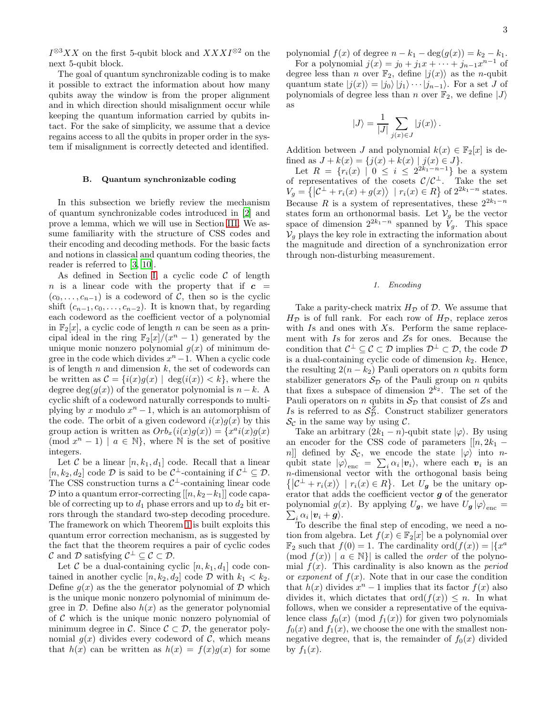$I^{\otimes 3}XX$  on the first 5-qubit block and  $XXXI^{\otimes 2}$  on the next 5-qubit block.

The goal of quantum synchronizable coding is to make it possible to extract the information about how many qubits away the window is from the proper alignment and in which direction should misalignment occur while keeping the quantum information carried by qubits intact. For the sake of simplicity, we assume that a device regains access to all the qubits in proper order in the system if misalignment is correctly detected and identified.

### <span id="page-2-0"></span>B. Quantum synchronizable coding

In this subsection we briefly review the mechanism of quantum synchronizable codes introduced in [\[2\]](#page-8-1) and prove a lemma, which we will use in Section [III.](#page-4-0) We assume familiarity with the structure of CSS codes and their encoding and decoding methods. For the basic facts and notions in classical and quantum coding theories, the reader is referred to [\[3](#page-8-2), [10\]](#page-8-9).

As defined in Section [I,](#page-0-1) a cyclic code  $\mathcal C$  of length n is a linear code with the property that if  $c =$  $(c_0, \ldots, c_{n-1})$  is a codeword of C, then so is the cyclic shift  $(c_{n-1}, c_0, \ldots, c_{n-2})$ . It is known that, by regarding each codeword as the coefficient vector of a polynomial in  $\mathbb{F}_2[x]$ , a cyclic code of length n can be seen as a principal ideal in the ring  $\mathbb{F}_2[x]/(x^n-1)$  generated by the unique monic nonzero polynomial  $g(x)$  of minimum degree in the code which divides  $x^{n}-1$ . When a cyclic code is of length  $n$  and dimension  $k$ , the set of codewords can be written as  $\mathcal{C} = \{i(x)g(x) \mid \deg(i(x)) < k\}$ , where the degree deg( $q(x)$ ) of the generator polynomial is  $n - k$ . A cyclic shift of a codeword naturally corresponds to multiplying by x modulo  $x^n - 1$ , which is an automorphism of the code. The orbit of a given codeword  $i(x)g(x)$  by this group action is written as  $Orb_x(i(x)g(x)) = \{x^a i(x)g(x)\}$  $p(\mod x^n - 1) \mid a \in \mathbb{N}$ , where  $\mathbb N$  is the set of positive integers.

Let C be a linear  $[n, k_1, d_1]$  code. Recall that a linear  $[n, k_2, d_2]$  code  $\mathcal D$  is said to be  $\mathcal C^{\perp}$ -containing if  $\mathcal C^{\perp} \subseteq \mathcal D$ . The CSS construction turns a  $C^{\perp}$ -containing linear code  $\mathcal D$  into a quantum error-correcting  $[[n, k_2-k_1]]$  code capable of correcting up to  $d_1$  phase errors and up to  $d_2$  bit errors through the standard two-step decoding procedure. The framework on which Theorem [1](#page-1-0) is built exploits this quantum error correction mechanism, as is suggested by the fact that the theorem requires a pair of cyclic codes C and D satisfying  $C^{\perp} \subseteq C \subset \mathcal{D}$ .

Let C be a dual-containing cyclic  $[n, k_1, d_1]$  code contained in another cyclic  $[n, k_2, d_2]$  code D with  $k_1 < k_2$ . Define  $g(x)$  as the the generator polynomial of  $\mathcal D$  which is the unique monic nonzero polynomial of minimum degree in  $\mathcal D$ . Define also  $h(x)$  as the generator polynomial of  $\mathcal C$  which is the unique monic nonzero polynomial of minimum degree in C. Since  $\mathcal{C} \subset \mathcal{D}$ , the generator polynomial  $q(x)$  divides every codeword of C, which means that  $h(x)$  can be written as  $h(x) = f(x)g(x)$  for some polynomial  $f(x)$  of degree  $n - k_1 - \deg(g(x)) = k_2 - k_1$ .

For a polynomial  $j(x) = j_0 + j_1 x + \cdots + j_{n-1} x^{n-1}$  of degree less than *n* over  $\mathbb{F}_2$ , define  $|j(x)\rangle$  as the *n*-qubit quantum state  $|j(x)\rangle = |j_0\rangle |j_1\rangle \cdots |j_{n-1}\rangle$ . For a set J of polynomials of degree less than n over  $\mathbb{F}_2$ , we define  $|J\rangle$ as

$$
|J\rangle = \frac{1}{|J|} \sum_{j(x)\in J} |j(x)\rangle.
$$

Addition between J and polynomial  $k(x) \in \mathbb{F}_2[x]$  is defined as  $J + k(x) = \{j(x) + k(x) | j(x) \in J\}.$ 

Let  $R = \{r_i(x) | 0 \leq i \leq 2^{2k_1-n-1}\}\$  be a system of representatives of the cosets  $\mathcal{C}/\mathcal{C}^{\perp}$ . Take the set  $V_g = \left\{ \left| \mathcal{C}^{\perp} + r_i(x) + g(x) \right\rangle \mid r_i(x) \in R \right\}$  of  $2^{2k_1 - n}$  states. Because R is a system of representatives, these  $2^{2k_1-n}$ states form an orthonormal basis. Let  $V_q$  be the vector space of dimension  $2^{2k_1-n}$  spanned by  $\tilde{V}_q$ . This space  $V_q$  plays the key role in extracting the information about the magnitude and direction of a synchronization error through non-disturbing measurement.

#### <span id="page-2-1"></span>1. Encoding

Take a parity-check matrix  $H_{\mathcal{D}}$  of  $\mathcal{D}$ . We assume that  $H_{\mathcal{D}}$  is of full rank. For each row of  $H_{\mathcal{D}}$ , replace zeros with  $Is$  and ones with  $Xs$ . Perform the same replacement with Is for zeros and Zs for ones. Because the condition that  $C^{\perp} \subseteq C \subset \mathcal{D}$  implies  $\mathcal{D}^{\perp} \subset \mathcal{D}$ , the code  $\mathcal{D}$ is a dual-containing cyclic code of dimension  $k_2$ . Hence, the resulting  $2(n - k_2)$  Pauli operators on n qubits form stabilizer generators  $S_{\mathcal{D}}$  of the Pauli group on n qubits that fixes a subspace of dimension  $2^{k_2}$ . The set of the Pauli operators on n qubits in  $S_{\mathcal{D}}$  that consist of Zs and Is is referred to as  $S_{\mathcal{D}}^Z$ . Construct stabilizer generators  $\mathcal{S}_{\mathcal{C}}$  in the same way by using  $\mathcal{C}$ .

Take an arbitrary  $(2k_1 - n)$ -qubit state  $|\varphi\rangle$ . By using an encoder for the CSS code of parameters  $[[n, 2k_1$ n]] defined by  $\mathcal{S}_{\mathcal{C}}$ , we encode the state  $|\varphi\rangle$  into nqubit state  $|\varphi\rangle_{\text{enc}} = \sum_i \alpha_i |\boldsymbol{v}_i\rangle$ , where each  $\boldsymbol{v}_i$  is an n-dimensional vector with the orthogonal basis being  $\{|\mathcal{C}^{\perp}+r_i(x)\rangle \mid r_i(x) \in R\}.$  Let  $U_g$  be the unitary operator that adds the coefficient vector  $g$  of the generator polynomial  $g(x)$ . By applying  $U_g$ , we have  $U_g |\varphi\rangle_{\text{enc}} = \sum_i \alpha_i |\mathbf{v}_i + \mathbf{g}\rangle$ .  $_{i}$   $\alpha_{i}$   $\vert \boldsymbol{v}_{i} + \boldsymbol{g} \rangle$ .

To describe the final step of encoding, we need a notion from algebra. Let  $f(x) \in \mathbb{F}_2[x]$  be a polynomial over  $\mathbb{F}_2$  such that  $f(0) = 1$ . The cardinality  $\text{ord}(f(x)) = |\{x^a\}$  $p(\mod{f(x)}) | a \in \mathbb{N}$  is called the *order* of the polynomial  $f(x)$ . This cardinality is also known as the *period* or exponent of  $f(x)$ . Note that in our case the condition that  $h(x)$  divides  $x^n - 1$  implies that its factor  $f(x)$  also divides it, which dictates that ord $(f(x)) \leq n$ . In what follows, when we consider a representative of the equivalence class  $f_0(x) \pmod{f_1(x)}$  for given two polynomials  $f_0(x)$  and  $f_1(x)$ , we choose the one with the smallest nonnegative degree, that is, the remainder of  $f_0(x)$  divided by  $f_1(x)$ .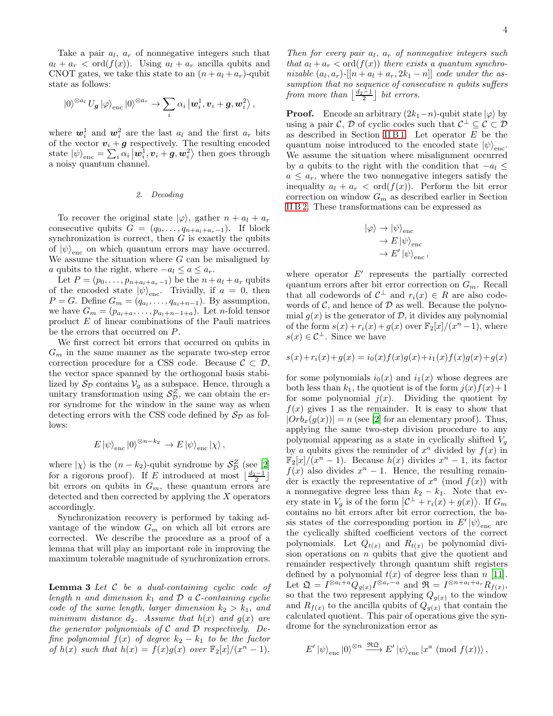Take a pair  $a_l$ ,  $a_r$  of nonnegative integers such that  $a_l + a_r < \text{ord}(f(x))$ . Using  $a_l + a_r$  ancilla qubits and CNOT gates, we take this state to an  $(n + a_l + a_r)$ -qubit state as follows:

$$
\ket{0}^{\otimes a_{l}}U_{\boldsymbol{g}}\ket{\varphi}_{\text{enc}}\ket{0}^{\otimes a_{r}} \rightarrow \sum_{i}\alpha_{i}\ket{\boldsymbol{w}_{i}^{1},\boldsymbol{v}_{i}+\boldsymbol{g},\boldsymbol{w}_{i}^{2}},
$$

where  $w_i^1$  and  $w_i^2$  are the last  $a_l$  and the first  $a_r$  bits of the vector  $v_i + g$  respectively. The resulting encoded state  $|\psi\rangle_{\text{enc}} = \sum_i \alpha_i |\mathbf{w}_i^1, \mathbf{v}_i + \mathbf{g}, \mathbf{w}_i^2\rangle$  then goes through a noisy quantum channel.

#### <span id="page-3-0"></span>2. Decoding

To recover the original state  $|\varphi\rangle$ , gather  $n + a_l + a_r$ consecutive qubits  $G = (q_0, \ldots, q_{n+a_l+a_r-1})$ . If block synchronization is correct, then  $G$  is exactly the qubits of  $|\psi\rangle$ <sub>enc</sub> on which quantum errors may have occurred. We assume the situation where  $G$  can be misaligned by a qubits to the right, where  $-a_l \le a \le a_r$ .

Let  $P = (p_0, \ldots, p_{n+a_l+a_r-1})$  be the  $n + a_l + a_r$  qubits of the encoded state  $|\psi\rangle_{\text{enc}}$ . Trivially, if  $a = 0$ , then  $P = G$ . Define  $G_m = (q_{a_1}, \ldots, q_{a_l+n-1})$ . By assumption, we have  $G_m = (p_{a_l+a}, \ldots, p_{a_l+n-1+a})$ . Let n-fold tensor product E of linear combinations of the Pauli matrices be the errors that occurred on P.

We first correct bit errors that occurred on qubits in  $G_m$  in the same manner as the separate two-step error correction procedure for a CSS code. Because  $\mathcal{C} \subset \mathcal{D}$ , the vector space spanned by the orthogonal basis stabilized by  $S_{\mathcal{D}}$  contains  $V_q$  as a subspace. Hence, through a unitary transformation using  $S_{\mathcal{D}}^Z$ , we can obtain the error syndrome for the window in the same way as when detecting errors with the CSS code defined by  $S_{\mathcal{D}}$  as follows:

$$
E |\psi\rangle_{\text{enc}} |0\rangle^{\otimes n-k_2} \to E |\psi\rangle_{\text{enc}} |\chi\rangle,
$$

where  $|\chi\rangle$  is the  $(n - k_2)$ -qubit syndrome by  $S_{\mathcal{D}}^Z$  (see [\[2](#page-8-1)] for a rigorous proof). If E introduced at most  $\lfloor \frac{d_2-1}{2} \rfloor$ bit errors on qubits in  $G_m$ , these quantum errors are detected and then corrected by applying the X operators accordingly.

Synchronization recovery is performed by taking advantage of the window  $G_m$  on which all bit errors are corrected. We describe the procedure as a proof of a lemma that will play an important role in improving the maximum tolerable magnitude of synchronization errors.

<span id="page-3-1"></span>**Lemma 3** Let  $C$  be a dual-containing cyclic code of length n and dimension  $k_1$  and  $\mathcal D$  a C-containing cyclic code of the same length, larger dimension  $k_2 > k_1$ , and minimum distance  $d_2$ . Assume that  $h(x)$  and  $g(x)$  are the generator polynomials of  $C$  and  $D$  respectively. Define polynomial  $f(x)$  of degree  $k_2 - k_1$  to be the factor of  $h(x)$  such that  $h(x) = f(x)g(x)$  over  $\mathbb{F}_2[x]/(x^n - 1)$ .

Then for every pair  $a_l$ ,  $a_r$  of nonnegative integers such that  $a_l + a_r < \text{ord}(f(x))$  there exists a quantum synchronizable  $(a_l, a_r)$ -[[ $n + a_l + a_r, 2k_1 - n$ ]] code under the assumption that no sequence of consecutive n qubits suffers from more than  $\lfloor \frac{d_2-1}{2} \rfloor$  bit errors.

**Proof.** Encode an arbitrary  $(2k_1-n)$ -qubit state  $|\varphi\rangle$  by using a pair  $\mathcal{C}, \mathcal{D}$  of cyclic codes such that  $\mathcal{C}^{\perp} \subseteq \mathcal{C} \subset \mathcal{D}$ as described in Section [II B 1.](#page-2-1) Let operator  $E$  be the quantum noise introduced to the encoded state  $|\psi\rangle_{\text{enc}}$ . We assume the situation where misalignment occurred by a qubits to the right with the condition that  $-a_l \leq$  $a \leq a_r$ , where the two nonnegative integers satisfy the inequality  $a_l + a_r < \text{ord}(f(x))$ . Perform the bit error correction on window  $G_m$  as described earlier in Section [II B 2.](#page-3-0) These transformations can be expressed as

$$
\begin{aligned} \left| \varphi \right\rangle &\rightarrow \left| \psi \right\rangle _{\text{enc}} \\ &\rightarrow E \left| \psi \right\rangle _{\text{enc}} \\ &\rightarrow E' \left| \psi \right\rangle _{\text{enc}}, \end{aligned}
$$

where operator  $E'$  represents the partially corrected quantum errors after bit error correction on  $G_m$ . Recall that all codewords of  $C^{\perp}$  and  $r_i(x) \in R$  are also codewords of  $\mathcal{C}$ , and hence of  $\mathcal{D}$  as well. Because the polynomial  $g(x)$  is the generator of  $\mathcal{D}$ , it divides any polynomial of the form  $s(x) + r_i(x) + g(x)$  over  $\mathbb{F}_2[x]/(x^n - 1)$ , where  $s(x) \in \mathcal{C}^{\perp}$ . Since we have

$$
s(x) + r_i(x) + g(x) = i_0(x)f(x)g(x) + i_1(x)f(x)g(x) + g(x)
$$

for some polynomials  $i_0(x)$  and  $i_1(x)$  whose degrees are both less than  $k_1$ , the quotient is of the form  $j(x)f(x)+1$ for some polynomial  $j(x)$ . Dividing the quotient by  $f(x)$  gives 1 as the remainder. It is easy to show that  $|Orb<sub>x</sub>(g(x))| = n$  (see [\[2\]](#page-8-1) for an elementary proof). Thus, applying the same two-step division procedure to any polynomial appearing as a state in cyclically shifted  $V<sub>q</sub>$ by a qubits gives the reminder of  $x^a$  divided by  $f(x)$  in  $\mathbb{F}_2[x]/(x^n-1)$ . Because  $h(x)$  divides  $x^n-1$ , its factor  $f(x)$  also divides  $x^n - 1$ . Hence, the resulting remainder is exactly the representative of  $x^a \pmod{f(x)}$  with a nonnegative degree less than  $k_2 - k_1$ . Note that every state in  $V_g$  is of the form  $\left| \mathcal{C}^{\perp} + r_i(x) + g(x) \right\rangle$ . If  $G_m$ contains no bit errors after bit error correction, the basis states of the corresponding portion in  $E' |\psi\rangle_{\text{enc}}$  are the cyclically shifted coefficient vectors of the correct polynomials. Let  $Q_{t(x)}$  and  $R_{t(x)}$  be polynomial division operations on  $n$  qubits that give the quotient and remainder respectively through quantum shift registers defined by a polynomial  $t(x)$  of degree less than n [\[11\]](#page-8-10). Let  $\mathfrak{Q} = I^{\otimes a_l + a} Q_{g(x)} I^{\otimes a_r - a}$  and  $\mathfrak{R} = I^{\otimes n + a_l + a_r} R_{f(x)}$ , so that the two represent applying  $Q_{g(x)}$  to the window and  $R_{f(x)}$  to the ancilla qubits of  $Q_{g(x)}$  that contain the calculated quotient. This pair of operations give the syndrome for the synchronization error as

$$
E' \left| \psi \right\rangle_{\text{enc}} \left| 0 \right\rangle^{\otimes n} \xrightarrow{\Re \Omega} E' \left| \psi \right\rangle_{\text{enc}} \left| x^a \right. \left( \text{mod } f(x) \right) \right\rangle,
$$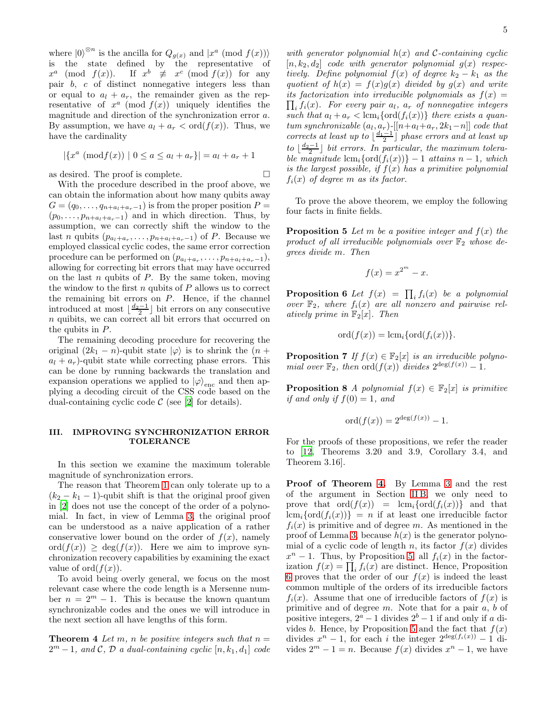where  $|0\rangle^{\otimes n}$  is the ancilla for  $Q_{g(x)}$  and  $|x^a \pmod{f(x)}$ is the state defined by the representative of  $x^a \pmod{f(x)}$ . If  $x^b \not\equiv x^c \pmod{f(x)}$  for any pair b, c of distinct nonnegative integers less than or equal to  $a_l + a_r$ , the remainder given as the representative of  $x^a \pmod{f(x)}$  uniquely identifies the magnitude and direction of the synchronization error a. By assumption, we have  $a_l + a_r < \text{ord}(f(x))$ . Thus, we have the cardinality

$$
|\{x^a \pmod{f(x)} \mid 0 \le a \le a_l + a_r\}| = a_l + a_r + 1
$$

as desired. The proof is complete.

With the procedure described in the proof above, we can obtain the information about how many qubits away  $G = (q_0, \ldots, q_{n+a_l+a_r-1})$  is from the proper position  $P =$  $(p_0, \ldots, p_{n+a_l+a_r-1})$  and in which direction. Thus, by assumption, we can correctly shift the window to the last *n* qubits  $(p_{a_1+a_r}, \ldots, p_{n+a_1+a_r-1})$  of *P*. Because we employed classical cyclic codes, the same error correction procedure can be performed on  $(p_{a_l+a_r}, \ldots, p_{n+a_l+a_r-1}),$ allowing for correcting bit errors that may have occurred on the last  $n$  qubits of  $P$ . By the same token, moving the window to the first  $n$  qubits of  $P$  allows us to correct the remaining bit errors on  $P$ . Hence, if the channel introduced at most  $\lfloor \frac{d_2-1}{2} \rfloor$  bit errors on any consecutive n quibits, we can correct all bit errors that occurred on the qubits in P.

The remaining decoding procedure for recovering the original  $(2k_1 - n)$ -qubit state  $|\varphi\rangle$  is to shrink the  $(n +$  $a_l + a_r$ )-qubit state while correcting phase errors. This can be done by running backwards the translation and expansion operations we applied to  $|\varphi\rangle_{\text{enc}}$  and then applying a decoding circuit of the CSS code based on the dual-containing cyclic code  $\mathcal C$  (see [\[2\]](#page-8-1) for details).

# <span id="page-4-0"></span>III. IMPROVING SYNCHRONIZATION ERROR TOLERANCE

In this section we examine the maximum tolerable magnitude of synchronization errors.

The reason that Theorem [1](#page-1-0) can only tolerate up to a  $(k_2 - k_1 - 1)$ -qubit shift is that the original proof given in [\[2\]](#page-8-1) does not use the concept of the order of a polynomial. In fact, in view of Lemma [3,](#page-3-1) the original proof can be understood as a naive application of a rather conservative lower bound on the order of  $f(x)$ , namely  $\text{ord}(f(x)) \geq \text{deg}(f(x)).$  Here we aim to improve synchronization recovery capabilities by examining the exact value of ord $(f(x))$ .

To avoid being overly general, we focus on the most relevant case where the code length is a Mersenne number  $n = 2^m - 1$ . This is because the known quantum synchronizable codes and the ones we will introduce in the next section all have lengths of this form.

<span id="page-4-1"></span>**Theorem 4** Let m, n be positive integers such that  $n =$  $2^m - 1$ , and  $\mathcal{C}, \mathcal{D}$  a dual-containing cyclic  $[n, k_1, d_1]$  code with generator polynomial  $h(x)$  and C-containing cyclic  $[n, k_2, d_2]$  code with generator polynomial  $g(x)$  respectively. Define polynomial  $f(x)$  of degree  $k_2 - k_1$  as the quotient of  $h(x) = f(x)g(x)$  divided by  $g(x)$  and write  $\prod_i f_i(x)$ . For every pair  $a_l$ ,  $a_r$  of nonnegative integers its factorization into irreducible polynomials as  $f(x) =$ such that  $a_l + a_r < \text{lcm}_i\{\text{ord}(f_i(x))\}$  there exists a quan $tum synchronizable\ (a_l,a_r)\text{-}[[n+a_l+a_r,2k_1-n]]\ code\ that$ corrects at least up to  $\lfloor \frac{d_1-1}{2} \rfloor$  phase errors and at least up  $to \lfloor \frac{d_2-1}{2} \rfloor$  bit errors. In particular, the maximum tolerable magnitude  $\text{lcm}_i\{\text{ord}(f_i(x))\} - 1$  attains  $n - 1$ , which is the largest possible, if  $f(x)$  has a primitive polynomial  $f_i(x)$  of degree m as its factor.

To prove the above theorem, we employ the following four facts in finite fields.

**Proposition 5** Let m be a positive integer and  $f(x)$  the product of all irreducible polynomials over  $\mathbb{F}_2$  whose degrees divide m. Then

<span id="page-4-2"></span>
$$
f(x) = x^{2^m} - x.
$$

<span id="page-4-3"></span>**Proposition 6** Let  $f(x) = \prod_i f_i(x)$  be a polynomial over  $\mathbb{F}_2$ , where  $f_i(x)$  are all nonzero and pairwise relatively prime in  $\mathbb{F}_2[x]$ . Then

$$
\mathrm{ord}(f(x))=\mathrm{lcm}_i\{\mathrm{ord}(f_i(x))\}.
$$

<span id="page-4-4"></span>**Proposition 7** If  $f(x) \in \mathbb{F}_2[x]$  is an irreducible polynomial over  $\mathbb{F}_2$ , then  $\text{ord}(f(x))$  divides  $2^{\deg(f(x))} - 1$ .

<span id="page-4-5"></span>**Proposition 8** A polynomial  $f(x) \in \mathbb{F}_2[x]$  is primitive if and only if  $f(0) = 1$ , and

$$
ord(f(x)) = 2^{\deg(f(x))} - 1.
$$

For the proofs of these propositions, we refer the reader to [\[12](#page-8-11), Theorems 3.20 and 3.9, Corollary 3.4, and Theorem 3.16].

Proof of Theorem [4.](#page-4-1) By Lemma [3](#page-3-1) and the rest of the argument in Section [II B,](#page-2-0) we only need to prove that  $\text{ord}(f(x)) = \text{lcm}_i\{\text{ord}(f_i(x))\}$  and that  $lcm_i\{\text{ord}(f_i(x))\} = n$  if at least one irreducible factor  $f_i(x)$  is primitive and of degree m. As mentioned in the proof of Lemma [3,](#page-3-1) because  $h(x)$  is the generator polynomial of a cyclic code of length n, its factor  $f(x)$  divides  $x^n - 1$ . Thus, by Proposition [5,](#page-4-2) all  $f_i(x)$  in the factorization  $f(x) = \prod_i f_i(x)$  are distinct. Hence, Proposition [6](#page-4-3) proves that the order of our  $f(x)$  is indeed the least common multiple of the orders of its irreducible factors  $f_i(x)$ . Assume that one of irreducible factors of  $f(x)$  is primitive and of degree  $m$ . Note that for a pair  $a, b$  of positive integers,  $2^a - 1$  divides  $2^b - 1$  if and only if a di-vides b. Hence, by Proposition [5](#page-4-2) and the fact that  $f(x)$ divides  $x^n - 1$ , for each i the integer  $2^{\deg(f_i(x))} - 1$  divides  $2^m - 1 = n$ . Because  $f(x)$  divides  $x^n - 1$ , we have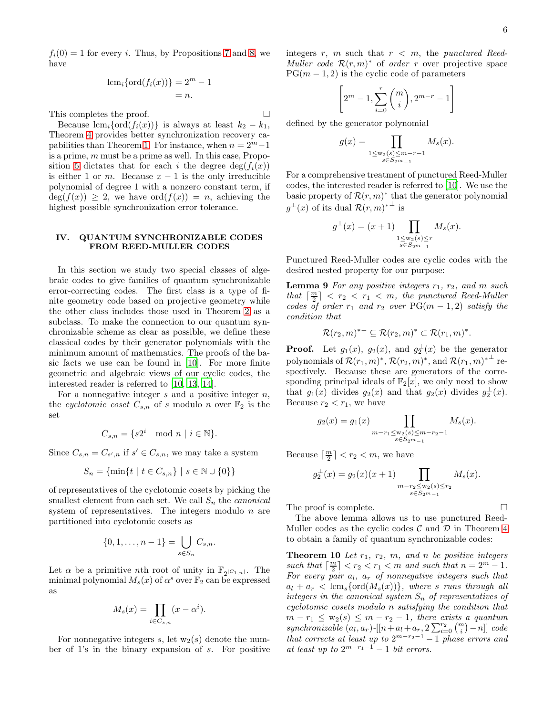$f_i(0) = 1$  for every i. Thus, by Propositions [7](#page-4-4) and [8,](#page-4-5) we have

$$
lcmi \{ord(fi(x))\} = 2m - 1
$$
  
= n.

This completes the proof.

Because  $\text{lcm}_i\{\text{ord}(f_i(x))\}$  is always at least  $k_2 - k_1$ , Theorem [4](#page-4-1) provides better synchronization recovery ca-pabilities than Theorem [1.](#page-1-0) For instance, when  $n = 2<sup>m</sup> - 1$ is a prime, m must be a prime as well. In this case, Propo-sition [5](#page-4-2) dictates that for each i the degree  $deg(f_i(x))$ is either 1 or m. Because  $x - 1$  is the only irreducible polynomial of degree 1 with a nonzero constant term, if  $deg(f(x)) \geq 2$ , we have  $ord(f(x)) = n$ , achieving the highest possible synchronization error tolerance.

### <span id="page-5-0"></span>IV. QUANTUM SYNCHRONIZABLE CODES FROM REED-MULLER CODES

In this section we study two special classes of algebraic codes to give families of quantum synchronizable error-correcting codes. The first class is a type of finite geometry code based on projective geometry while the other class includes those used in Theorem [2](#page-1-1) as a subclass. To make the connection to our quantum synchronizable scheme as clear as possible, we define these classical codes by their generator polynomials with the minimum amount of mathematics. The proofs of the basic facts we use can be found in [\[10\]](#page-8-9). For more finite geometric and algebraic views of our cyclic codes, the interested reader is referred to [\[10](#page-8-9), [13](#page-8-12), [14](#page-8-13)].

For a nonnegative integer  $s$  and a positive integer  $n$ , the cyclotomic coset  $C_{s,n}$  of s modulo n over  $\mathbb{F}_2$  is the set

$$
C_{s,n} = \{ s2^i \mod n \mid i \in \mathbb{N} \}.
$$

Since  $C_{s,n} = C_{s',n}$  if  $s' \in C_{s,n}$ , we may take a system

$$
S_n = \{ \min \{ t \mid t \in C_{s,n} \} \mid s \in \mathbb{N} \cup \{ 0 \} \}
$$

of representatives of the cyclotomic cosets by picking the smallest element from each set. We call  $S_n$  the *canonical* system of representatives. The integers modulo  $n$  are partitioned into cyclotomic cosets as

$$
\{0, 1, \dots, n-1\} = \bigcup_{s \in S_n} C_{s,n}.
$$

Let  $\alpha$  be a primitive *n*th root of unity in  $\mathbb{F}_{2^{|C_{1,n}|}}$ . The minimal polynomial  $M_s(x)$  of  $\alpha^s$  over  $\mathbb{F}_2$  can be expressed as

$$
M_s(x) = \prod_{i \in C_{s,n}} (x - \alpha^i).
$$

For nonnegative integers s, let  $w_2(s)$  denote the number of 1's in the binary expansion of s. For positive integers r, m such that  $r < m$ , the punctured Reed-Muller code  $\mathcal{R}(r,m)^*$  of order r over projective space  $PG(m-1, 2)$  is the cyclic code of parameters

$$
\left[2^m - 1, \sum_{i=0}^r \binom{m}{i}, 2^{m-r} - 1\right]
$$

defined by the generator polynomial

$$
g(x) = \prod_{\substack{1 \le w_2(s) \le m-r-1 \\ s \in S_{2m-1}}} M_s(x).
$$

For a comprehensive treatment of punctured Reed-Muller codes, the interested reader is referred to [\[10\]](#page-8-9). We use the basic property of  $\mathcal{R}(r,m)^*$  that the generator polynomial  $g^{\perp}(x)$  of its dual  $\mathcal{R}(r,m)^{*\perp}$  is

<span id="page-5-1"></span>
$$
g^{\perp}(x) = (x+1) \prod_{\substack{1 \le w_2(s) \le r \\ s \in S_{2^m-1}}} M_s(x).
$$

Punctured Reed-Muller codes are cyclic codes with the desired nested property for our purpose:

**Lemma 9** For any positive integers  $r_1$ ,  $r_2$ , and m such that  $\lceil \frac{m}{2} \rceil$  <  $r_2$  <  $r_1$  < m, the punctured Reed-Muller codes of order  $r_1$  and  $r_2$  over PG(m – 1, 2) satisfy the condition that

$$
\mathcal{R}(r_2,m)^{*\perp} \subseteq \mathcal{R}(r_2,m)^* \subset \mathcal{R}(r_1,m)^*.
$$

**Proof.** Let  $g_1(x)$ ,  $g_2(x)$ , and  $g_2^{\perp}(x)$  be the generator polynomials of  $\mathcal{R}(r_1,m)^*,$   $\mathcal{R}(r_2,m)^*,$  and  $\mathcal{R}(r_1,m)^{*\perp}$  respectively. Because these are generators of the corresponding principal ideals of  $\mathbb{F}_2[x]$ , we only need to show that  $g_1(x)$  divides  $g_2(x)$  and that  $g_2(x)$  divides  $g_2^{\perp}(x)$ . Because  $r_2 < r_1$ , we have

$$
g_2(x) = g_1(x) \prod_{\substack{m - r_1 \le w_2(s) \le m - r_2 - 1 \\ s \in S_{2m - 1}}} M_s(x).
$$

Because  $\lceil \frac{m}{2} \rceil < r_2 < m$ , we have

$$
g_2^{\perp}(x) = g_2(x)(x+1) \prod_{\substack{m-r_2 \le w_2(s) \le r_2\\s \in S_{2m-1}}} M_s(x).
$$

The proof is complete.

The above lemma allows us to use punctured Reed-Muller codes as the cyclic codes  $\mathcal C$  and  $\mathcal D$  in Theorem [4](#page-4-1) to obtain a family of quantum synchronizable codes:

**Theorem 10** Let  $r_1$ ,  $r_2$ ,  $m$ , and n be positive integers such that  $\lceil \frac{m}{2} \rceil < r_2 < r_1 < m$  and such that  $n = 2^m - 1$ . For every pair  $a_l$ ,  $a_r$  of nonnegative integers such that  $a_l + a_r < \text{lcm}_s \{\text{ord}(M_s(x))\},$  where s runs through all integers in the canonical system  $S_n$  of representatives of cyclotomic cosets modulo n satisfying the condition that  $m - r_1 \leq w_2(s) \leq m - r_2 - 1$ , there exists a quantum synchronizable  $(a_l, a_r)$ - $[[n+a_l+a_r, 2\sum_{i=0}^{r_2} {\binom{m}{i}}-n]]$  code that corrects at least up to  $2^{m-r_2-1} - 1$  phase errors and at least up to  $2^{m-r_1-1} - 1$  bit errors.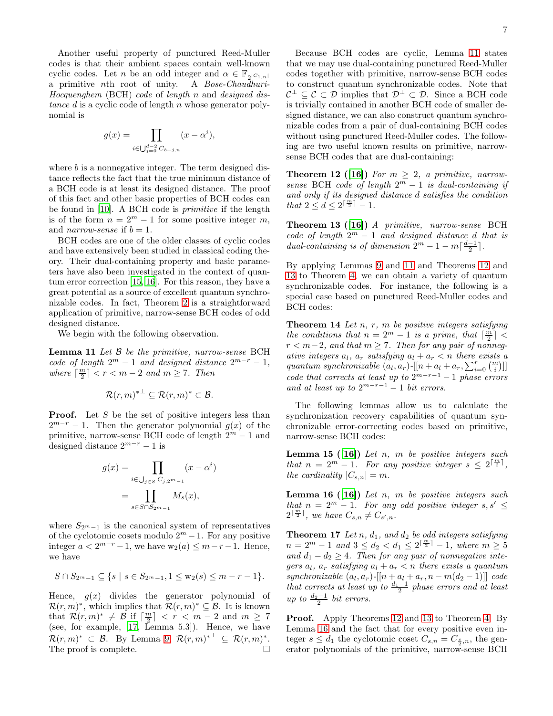Another useful property of punctured Reed-Muller codes is that their ambient spaces contain well-known cyclic codes. Let n be an odd integer and  $\alpha \in \mathbb{F}_{2^{|C_1,n|}}$ a primitive nth root of unity. A Bose-Chaudhuri-Hocquenghem (BCH) code of length n and designed distance  $d$  is a cyclic code of length  $n$  whose generator polynomial is

$$
g(x) = \prod_{i \in \bigcup_{j=0}^{d-2} C_{b+j,n}} (x - \alpha^i),
$$

where  $b$  is a nonnegative integer. The term designed distance reflects the fact that the true minimum distance of a BCH code is at least its designed distance. The proof of this fact and other basic properties of BCH codes can be found in [\[10\]](#page-8-9). A BCH code is primitive if the length is of the form  $n = 2<sup>m</sup> - 1$  for some positive integer m, and *narrow-sense* if  $b = 1$ .

BCH codes are one of the older classes of cyclic codes and have extensively been studied in classical coding theory. Their dual-containing property and basic parameters have also been investigated in the context of quantum error correction [\[15](#page-8-14), [16\]](#page-8-15). For this reason, they have a great potential as a source of excellent quantum synchronizable codes. In fact, Theorem [2](#page-1-1) is a straightforward application of primitive, narrow-sense BCH codes of odd designed distance.

We begin with the following observation.

**Lemma 11** Let  $\beta$  be the primitive, narrow-sense BCH code of length  $2^m - 1$  and designed distance  $2^{m-r} - 1$ , where  $\lceil \frac{m}{2} \rceil < r < m-2$  and  $m \geq 7$ . Then

$$
\mathcal{R}(r,m)^{*}^{\perp} \subseteq \mathcal{R}(r,m)^* \subset \mathcal{B}.
$$

**Proof.** Let S be the set of positive integers less than  $2^{m-r} - 1$ . Then the generator polynomial  $g(x)$  of the primitive, narrow-sense BCH code of length  $2^m - 1$  and designed distance  $2^{m-r} - 1$  is

$$
g(x) = \prod_{i \in \bigcup_{j \in S} C_{j,2^m-1}} (x - \alpha^i)
$$

$$
= \prod_{s \in S \cap S_{2^m-1}} M_s(x),
$$

where  $S_{2^m-1}$  is the canonical system of representatives of the cyclotomic cosets modulo  $2^m - 1$ . For any positive integer  $a < 2^{m-r}-1$ , we have  $w_2(a) \leq m-r-1$ . Hence, we have

$$
S \cap S_{2^m-1} \subseteq \{ s \mid s \in S_{2^m-1}, 1 \le w_2(s) \le m-r-1 \}.
$$

Hence,  $g(x)$  divides the generator polynomial of  $\mathcal{R}(r,m)^*$ , which implies that  $\mathcal{R}(r,m)^* \subseteq \mathcal{B}$ . It is known that  $\mathcal{R}(r,m)^* \neq \mathcal{B}$  if  $\lceil \frac{m}{2} \rceil < r < m-2$  and  $m \geq 7$ (see, for example, [\[17](#page-8-16), Lemma 5.3]). Hence, we have  $\mathcal{R}(r,m)^* \subset \mathcal{B}$ . By Lemma [9,](#page-5-1)  $\mathcal{R}(r,m)^* \perp \subseteq \mathcal{R}(r,m)^*$ . The proof is complete.

Because BCH codes are cyclic, Lemma [11](#page-6-0) states that we may use dual-containing punctured Reed-Muller codes together with primitive, narrow-sense BCH codes to construct quantum synchronizable codes. Note that  $\mathcal{C}^{\perp} \subseteq \mathcal{C} \subset \mathcal{D}$  implies that  $\mathcal{D}^{\perp} \subset \mathcal{D}$ . Since a BCH code is trivially contained in another BCH code of smaller designed distance, we can also construct quantum synchronizable codes from a pair of dual-containing BCH codes without using punctured Reed-Muller codes. The following are two useful known results on primitive, narrowsense BCH codes that are dual-containing:

<span id="page-6-1"></span>**Theorem 12 ([\[16](#page-8-15)])** For  $m \geq 2$ , a primitive, narrowsense BCH code of length  $2^m - 1$  is dual-containing if and only if its designed distance d satisfies the condition that  $2 \leq d \leq 2^{\lceil \frac{m}{2} \rceil} - 1$ .

<span id="page-6-2"></span>Theorem 13 ([\[16](#page-8-15)]) A primitive, narrow-sense BCH code of length  $2^m - 1$  and designed distance d that is dual-containing is of dimension  $2^m - 1 - m\left[\frac{d-1}{2}\right]$ .

By applying Lemmas [9](#page-5-1) and [11](#page-6-0) and Theorems [12](#page-6-1) and [13](#page-6-2) to Theorem [4,](#page-4-1) we can obtain a variety of quantum synchronizable codes. For instance, the following is a special case based on punctured Reed-Muller codes and BCH codes:

<span id="page-6-0"></span>**Theorem 14** Let  $n, r, m$  be positive integers satisfying the conditions that  $n = 2^m - 1$  is a prime, that  $\lceil \frac{m}{2} \rceil$  $r < m-2$ , and that  $m \geq 7$ . Then for any pair of nonnegative integers  $a_l$ ,  $a_r$  satisfying  $a_l + a_r < n$  there exists a quantum synchronizable  $(a_l, a_r)$ - $[[n + a_l + a_r, \sum_{i=0}^r \binom{m}{i}]]$ quantum synchronizable  $(a_i, a_{r})$  [ $a + a_i + a_r$ ,  $\angle i = 0$  ( $i$ )]]<br>code that corrects at least up to  $2^{m-r-1} - 1$  phase errors and at least up to  $2^{m-r-1} - 1$  bit errors.

The following lemmas allow us to calculate the synchronization recovery capabilities of quantum synchronizable error-correcting codes based on primitive, narrow-sense BCH codes:

<span id="page-6-4"></span>**Lemma 15** ([\[16](#page-8-15)]) Let n, m be positive integers such that  $n = 2^m - 1$ . For any positive integer  $s \leq 2^{\lceil \frac{m}{2} \rceil}$ , the cardinality  $|C_{s,n}| = m$ .

<span id="page-6-3"></span>**Lemma 16** ([\[16](#page-8-15)]) Let n, m be positive integers such that  $n = 2^m - 1$ . For any odd positive integer  $s, s' \leq$  $2^{\lceil \frac{m}{2} \rceil}$ , we have  $C_{s,n} \neq C_{s',n}$ .

<span id="page-6-5"></span>**Theorem 17** Let n,  $d_1$ , and  $d_2$  be odd integers satisfying  $n = 2^m - 1$  and  $3 \le d_2 < d_1 \le 2^{\lceil \frac{m}{2} \rceil} - 1$ , where  $m \ge 5$ and  $d_1 - d_2 \geq 4$ . Then for any pair of nonnegative integers  $a_l$ ,  $a_r$  satisfying  $a_l + a_r < n$  there exists a quantum  $synchronizable\ (a_l, a_r)$ - $[[n+a_l+a_r, n-m(d_2-1)]]\ code$ that corrects at least up to  $\frac{d_1-1}{2}$  phase errors and at least up to  $\frac{d_2-1}{2}$  bit errors.

Proof. Apply Theorems [12](#page-6-1) and [13](#page-6-2) to Theorem [4.](#page-4-1) By Lemma [16](#page-6-3) and the fact that for every positive even integer  $s \leq d_1$  the cyclotomic coset  $C_{s,n} = C_{\frac{s}{2},n}$ , the generator polynomials of the primitive, narrow-sense BCH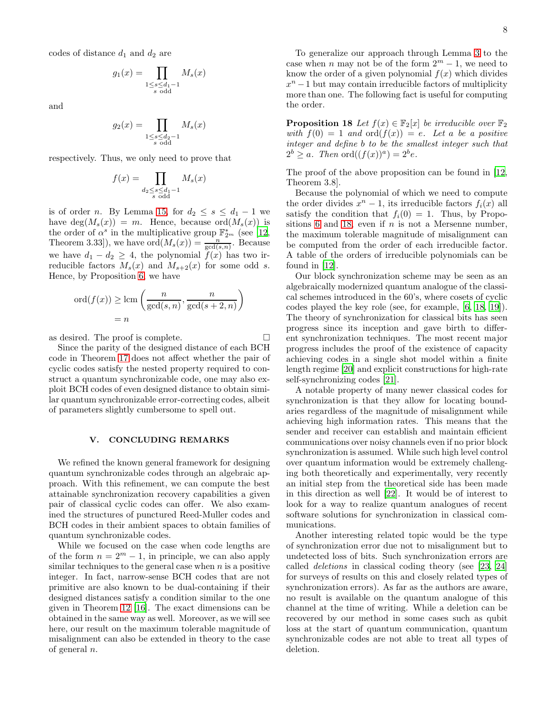codes of distance  $d_1$  and  $d_2$  are

$$
g_1(x) = \prod_{\substack{1 \le s \le d_1 - 1 \\ s \text{ odd}}} M_s(x)
$$

and

$$
g_2(x) = \prod_{\substack{1 \le s \le d_2 - 1 \\ s \text{ odd}}} M_s(x)
$$

respectively. Thus, we only need to prove that

$$
f(x) = \prod_{\substack{d_2 \le s \le d_1 - 1 \\ s \text{ odd}}} M_s(x)
$$

is of order n. By Lemma [15,](#page-6-4) for  $d_2 \leq s \leq d_1 - 1$  we have  $deg(M_s(x)) = m$ . Hence, because ord $(M_s(x))$  is the order of  $\alpha^s$  in the multiplicative group  $\mathbb{F}_{2^m}^*$  (see [\[12](#page-8-11), Theorem 3.33]), we have  $\text{ord}(M_s(x)) = \frac{n}{\gcd(s,n)}$ . Because we have  $d_1 - d_2 \geq 4$ , the polynomial  $f(x)$  has two irreducible factors  $M_s(x)$  and  $M_{s+2}(x)$  for some odd s. Hence, by Proposition [6,](#page-4-3) we have

$$
\operatorname{ord}(f(x)) \ge \operatorname{lcm}\left(\frac{n}{\gcd(s,n)}, \frac{n}{\gcd(s+2,n)}\right)
$$

$$
= n
$$

as desired. The proof is complete.  $\Box$ 

Since the parity of the designed distance of each BCH code in Theorem [17](#page-6-5) does not affect whether the pair of cyclic codes satisfy the nested property required to construct a quantum synchronizable code, one may also exploit BCH codes of even designed distance to obtain similar quantum synchronizable error-correcting codes, albeit of parameters slightly cumbersome to spell out.

### <span id="page-7-0"></span>V. CONCLUDING REMARKS

We refined the known general framework for designing quantum synchronizable codes through an algebraic approach. With this refinement, we can compute the best attainable synchronization recovery capabilities a given pair of classical cyclic codes can offer. We also examined the structures of punctured Reed-Muller codes and BCH codes in their ambient spaces to obtain families of quantum synchronizable codes.

While we focused on the case when code lengths are of the form  $n = 2^m - 1$ , in principle, we can also apply similar techniques to the general case when  $n$  is a positive integer. In fact, narrow-sense BCH codes that are not primitive are also known to be dual-containing if their designed distances satisfy a condition similar to the one given in Theorem [12](#page-6-1) [\[16\]](#page-8-15). The exact dimensions can be obtained in the same way as well. Moreover, as we will see here, our result on the maximum tolerable magnitude of misalignment can also be extended in theory to the case of general n.

To generalize our approach through Lemma [3](#page-3-1) to the case when *n* may not be of the form  $2^m - 1$ , we need to know the order of a given polynomial  $f(x)$  which divides  $x<sup>n</sup> - 1$  but may contain irreducible factors of multiplicity more than one. The following fact is useful for computing the order.

<span id="page-7-1"></span>**Proposition 18** Let  $f(x) \in \mathbb{F}_2[x]$  be irreducible over  $\mathbb{F}_2$ with  $f(0) = 1$  and  $\text{ord}(f(x)) = e$ . Let a be a positive integer and define b to be the smallest integer such that  $2^{b} \ge a$ . Then  $\text{ord}((f(x))^{a}) = 2^{b}e$ .

The proof of the above proposition can be found in [\[12](#page-8-11), Theorem 3.8].

Because the polynomial of which we need to compute the order divides  $x^n - 1$ , its irreducible factors  $f_i(x)$  all satisfy the condition that  $f_i(0) = 1$ . Thus, by Propo-sitions [6](#page-4-3) and [18,](#page-7-1) even if  $n$  is not a Mersenne number, the maximum tolerable magnitude of misalignment can be computed from the order of each irreducible factor. A table of the orders of irreducible polynomials can be found in [\[12](#page-8-11)].

Our block synchronization scheme may be seen as an algebraically modernized quantum analogue of the classical schemes introduced in the 60's, where cosets of cyclic codes played the key role (see, for example, [\[6,](#page-8-5) [18](#page-8-17), [19\]](#page-8-18)). The theory of synchronization for classical bits has seen progress since its inception and gave birth to different synchronization techniques. The most recent major progress includes the proof of the existence of capacity achieving codes in a single shot model within a finite length regime [\[20\]](#page-8-19) and explicit constructions for high-rate self-synchronizing codes [\[21\]](#page-8-20).

A notable property of many newer classical codes for synchronization is that they allow for locating boundaries regardless of the magnitude of misalignment while achieving high information rates. This means that the sender and receiver can establish and maintain efficient communications over noisy channels even if no prior block synchronization is assumed. While such high level control over quantum information would be extremely challenging both theoretically and experimentally, very recently an initial step from the theoretical side has been made in this direction as well [\[22\]](#page-8-21). It would be of interest to look for a way to realize quantum analogues of recent software solutions for synchronization in classical communications.

Another interesting related topic would be the type of synchronization error due not to misalignment but to undetected loss of bits. Such synchronization errors are called deletions in classical coding theory (see [\[23](#page-8-22), [24](#page-8-23)] for surveys of results on this and closely related types of synchronization errors). As far as the authors are aware, no result is available on the quantum analogue of this channel at the time of writing. While a deletion can be recovered by our method in some cases such as qubit loss at the start of quantum communication, quantum synchronizable codes are not able to treat all types of deletion.